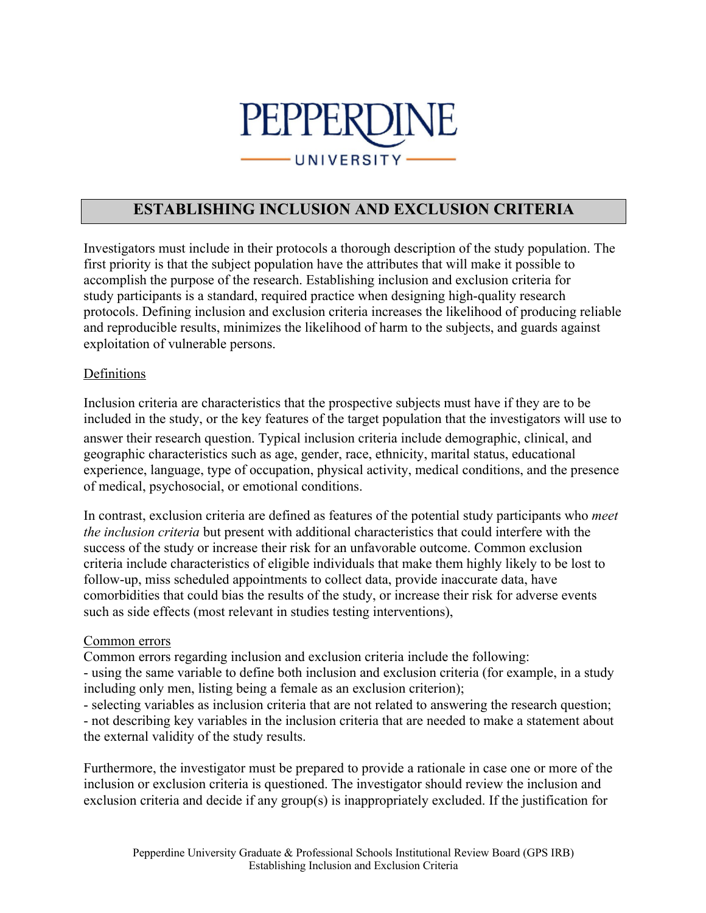

## **ESTABLISHING INCLUSION AND EXCLUSION CRITERIA**

Investigators must include in their protocols a thorough description of the study population. The first priority is that the subject population have the attributes that will make it possible to accomplish the purpose of the research. Establishing inclusion and exclusion criteria for study participants is a standard, required practice when designing high-quality research protocols. Defining inclusion and exclusion criteria increases the likelihood of producing reliable and reproducible results, minimizes the likelihood of harm to the subjects, and guards against exploitation of vulnerable persons.

## Definitions

Inclusion criteria are characteristics that the prospective subjects must have if they are to be included in the study, or the key features of the target population that the investigators will use to answer their research question. Typical inclusion criteria include demographic, clinical, and geographic characteristics such as age, gender, race, ethnicity, marital status, educational experience, language, type of occupation, physical activity, medical conditions, and the presence of medical, psychosocial, or emotional conditions.

In contrast, exclusion criteria are defined as features of the potential study participants who *meet the inclusion criteria* but present with additional characteristics that could interfere with the success of the study or increase their risk for an unfavorable outcome. Common exclusion criteria include characteristics of eligible individuals that make them highly likely to be lost to follow-up, miss scheduled appointments to collect data, provide inaccurate data, have comorbidities that could bias the results of the study, or increase their risk for adverse events such as side effects (most relevant in studies testing interventions),

## Common errors

Common errors regarding inclusion and exclusion criteria include the following:

- using the same variable to define both inclusion and exclusion criteria (for example, in a study including only men, listing being a female as an exclusion criterion);

- selecting variables as inclusion criteria that are not related to answering the research question;

- not describing key variables in the inclusion criteria that are needed to make a statement about the external validity of the study results.

Furthermore, the investigator must be prepared to provide a rationale in case one or more of the inclusion or exclusion criteria is questioned. The investigator should review the inclusion and exclusion criteria and decide if any group(s) is inappropriately excluded. If the justification for